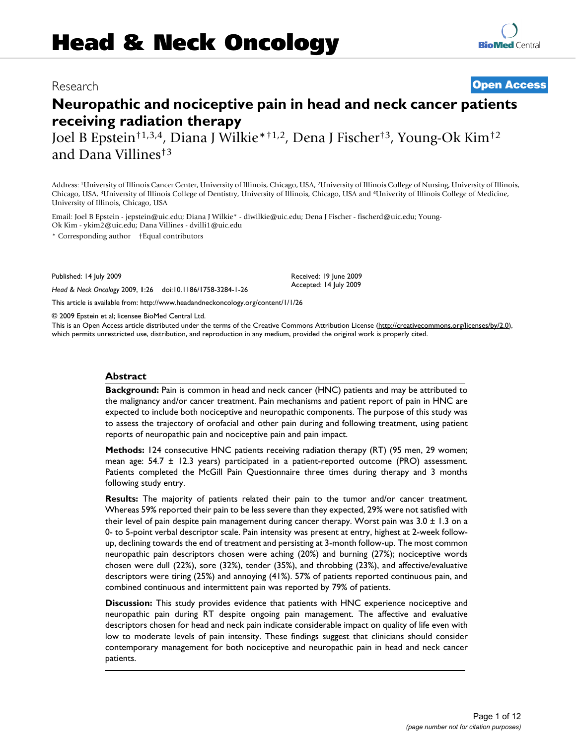## Research **[Open Access](http://www.biomedcentral.com/info/about/charter/)**

# **Neuropathic and nociceptive pain in head and neck cancer patients receiving radiation therapy**

Joel B Epstein†1,3,4, Diana J Wilkie\*†1,2, Dena J Fischer†3, Young-Ok Kim†2 and Dana Villines†3

Address: 1University of Illinois Cancer Center, University of Illinois, Chicago, USA, 2University of Illinois College of Nursing, University of Illinois, Chicago, USA, 3University of Illinois College of Dentistry, University of Illinois, Chicago, USA and 4Univerity of Illinois College of Medicine, University of Illinois, Chicago, USA

Email: Joel B Epstein - jepstein@uic.edu; Diana J Wilkie\* - diwilkie@uic.edu; Dena J Fischer - fischerd@uic.edu; Young-Ok Kim - ykim2@uic.edu; Dana Villines - dvilli1@uic.edu

\* Corresponding author †Equal contributors

Published: 14 July 2009

*Head & Neck Oncology* 2009, **1**:26 doi:10.1186/1758-3284-1-26

[This article is available from: http://www.headandneckoncology.org/content/1/1/26](http://www.headandneckoncology.org/content/1/1/26)

© 2009 Epstein et al; licensee BioMed Central Ltd.

This is an Open Access article distributed under the terms of the Creative Commons Attribution License [\(http://creativecommons.org/licenses/by/2.0\)](http://creativecommons.org/licenses/by/2.0), which permits unrestricted use, distribution, and reproduction in any medium, provided the original work is properly cited.

Received: 19 June 2009 Accepted: 14 July 2009

#### **Abstract**

**Background:** Pain is common in head and neck cancer (HNC) patients and may be attributed to the malignancy and/or cancer treatment. Pain mechanisms and patient report of pain in HNC are expected to include both nociceptive and neuropathic components. The purpose of this study was to assess the trajectory of orofacial and other pain during and following treatment, using patient reports of neuropathic pain and nociceptive pain and pain impact.

**Methods:** 124 consecutive HNC patients receiving radiation therapy (RT) (95 men, 29 women; mean age: 54.7 ± 12.3 years) participated in a patient-reported outcome (PRO) assessment. Patients completed the McGill Pain Questionnaire three times during therapy and 3 months following study entry.

**Results:** The majority of patients related their pain to the tumor and/or cancer treatment. Whereas 59% reported their pain to be less severe than they expected, 29% were not satisfied with their level of pain despite pain management during cancer therapy. Worst pain was  $3.0 \pm 1.3$  on a 0- to 5-point verbal descriptor scale. Pain intensity was present at entry, highest at 2-week followup, declining towards the end of treatment and persisting at 3-month follow-up. The most common neuropathic pain descriptors chosen were aching (20%) and burning (27%); nociceptive words chosen were dull (22%), sore (32%), tender (35%), and throbbing (23%), and affective/evaluative descriptors were tiring (25%) and annoying (41%). 57% of patients reported continuous pain, and combined continuous and intermittent pain was reported by 79% of patients.

**Discussion:** This study provides evidence that patients with HNC experience nociceptive and neuropathic pain during RT despite ongoing pain management. The affective and evaluative descriptors chosen for head and neck pain indicate considerable impact on quality of life even with low to moderate levels of pain intensity. These findings suggest that clinicians should consider contemporary management for both nociceptive and neuropathic pain in head and neck cancer patients.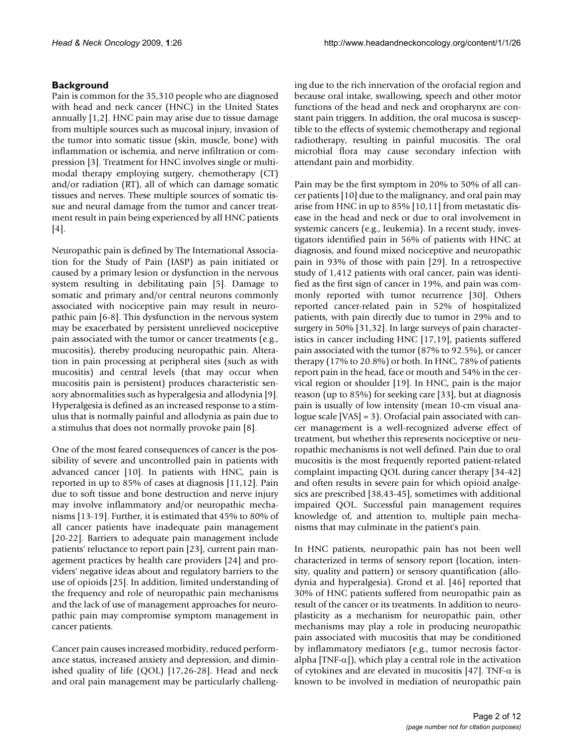### **Background**

Pain is common for the 35,310 people who are diagnosed with head and neck cancer (HNC) in the United States annually [1,2]. HNC pain may arise due to tissue damage from multiple sources such as mucosal injury, invasion of the tumor into somatic tissue (skin, muscle, bone) with inflammation or ischemia, and nerve infiltration or compression [3]. Treatment for HNC involves single or multimodal therapy employing surgery, chemotherapy (CT) and/or radiation (RT), all of which can damage somatic tissues and nerves. These multiple sources of somatic tissue and neural damage from the tumor and cancer treatment result in pain being experienced by all HNC patients [4].

Neuropathic pain is defined by The International Association for the Study of Pain (IASP) as pain initiated or caused by a primary lesion or dysfunction in the nervous system resulting in debilitating pain [5]. Damage to somatic and primary and/or central neurons commonly associated with nociceptive pain may result in neuropathic pain [6-8]. This dysfunction in the nervous system may be exacerbated by persistent unrelieved nociceptive pain associated with the tumor or cancer treatments (e.g., mucositis), thereby producing neuropathic pain. Alteration in pain processing at peripheral sites (such as with mucositis) and central levels (that may occur when mucositis pain is persistent) produces characteristic sensory abnormalities such as hyperalgesia and allodynia [9]. Hyperalgesia is defined as an increased response to a stimulus that is normally painful and allodynia as pain due to a stimulus that does not normally provoke pain [8].

One of the most feared consequences of cancer is the possibility of severe and uncontrolled pain in patients with advanced cancer [10]. In patients with HNC, pain is reported in up to 85% of cases at diagnosis [11,12]. Pain due to soft tissue and bone destruction and nerve injury may involve inflammatory and/or neuropathic mechanisms [13-19]. Further, it is estimated that 45% to 80% of all cancer patients have inadequate pain management [20-22]. Barriers to adequate pain management include patients' reluctance to report pain [23], current pain management practices by health care providers [24] and providers' negative ideas about and regulatory barriers to the use of opioids [25]. In addition, limited understanding of the frequency and role of neuropathic pain mechanisms and the lack of use of management approaches for neuropathic pain may compromise symptom management in cancer patients.

Cancer pain causes increased morbidity, reduced performance status, increased anxiety and depression, and diminished quality of life (QOL) [17,26-28]. Head and neck and oral pain management may be particularly challenging due to the rich innervation of the orofacial region and because oral intake, swallowing, speech and other motor functions of the head and neck and oropharynx are constant pain triggers. In addition, the oral mucosa is susceptible to the effects of systemic chemotherapy and regional radiotherapy, resulting in painful mucositis. The oral microbial flora may cause secondary infection with attendant pain and morbidity.

Pain may be the first symptom in 20% to 50% of all cancer patients [10] due to the malignancy, and oral pain may arise from HNC in up to 85% [10,11] from metastatic disease in the head and neck or due to oral involvement in systemic cancers (e.g., leukemia). In a recent study, investigators identified pain in 56% of patients with HNC at diagnosis, and found mixed nociceptive and neuropathic pain in 93% of those with pain [29]. In a retrospective study of 1,412 patients with oral cancer, pain was identified as the first sign of cancer in 19%, and pain was commonly reported with tumor recurrence [30]. Others reported cancer-related pain in 52% of hospitalized patients, with pain directly due to tumor in 29% and to surgery in 50% [31,32]. In large surveys of pain characteristics in cancer including HNC [17,19], patients suffered pain associated with the tumor (87% to 92.5%), or cancer therapy (17% to 20.8%) or both. In HNC, 78% of patients report pain in the head, face or mouth and 54% in the cervical region or shoulder [19]. In HNC, pain is the major reason (up to 85%) for seeking care [33], but at diagnosis pain is usually of low intensity (mean 10-cm visual analogue scale [VAS] = 3). Orofacial pain associated with cancer management is a well-recognized adverse effect of treatment, but whether this represents nociceptive or neuropathic mechanisms is not well defined. Pain due to oral mucositis is the most frequently reported patient-related complaint impacting QOL during cancer therapy [34-42] and often results in severe pain for which opioid analgesics are prescribed [38,43-45], sometimes with additional impaired QOL. Successful pain management requires knowledge of, and attention to, multiple pain mechanisms that may culminate in the patient's pain.

In HNC patients, neuropathic pain has not been well characterized in terms of sensory report (location, intensity, quality and pattern) or sensory quantification (allodynia and hyperalgesia). Grond et al. [46] reported that 30% of HNC patients suffered from neuropathic pain as result of the cancer or its treatments. In addition to neuroplasticity as a mechanism for neuropathic pain, other mechanisms may play a role in producing neuropathic pain associated with mucositis that may be conditioned by inflammatory mediators (e.g., tumor necrosis factoralpha  $[TNF-\alpha]$ , which play a central role in the activation of cytokines and are elevated in mucositis [47]. TNF- $\alpha$  is known to be involved in mediation of neuropathic pain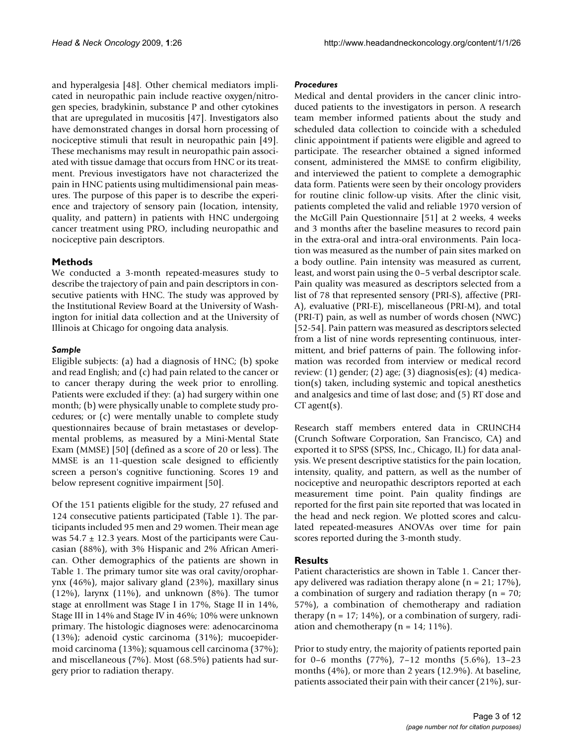and hyperalgesia [48]. Other chemical mediators implicated in neuropathic pain include reactive oxygen/nitrogen species, bradykinin, substance P and other cytokines that are upregulated in mucositis [47]. Investigators also have demonstrated changes in dorsal horn processing of nociceptive stimuli that result in neuropathic pain [49]. These mechanisms may result in neuropathic pain associated with tissue damage that occurs from HNC or its treatment. Previous investigators have not characterized the pain in HNC patients using multidimensional pain measures. The purpose of this paper is to describe the experience and trajectory of sensory pain (location, intensity, quality, and pattern) in patients with HNC undergoing cancer treatment using PRO, including neuropathic and nociceptive pain descriptors.

#### **Methods**

We conducted a 3-month repeated-measures study to describe the trajectory of pain and pain descriptors in consecutive patients with HNC. The study was approved by the Institutional Review Board at the University of Washington for initial data collection and at the University of Illinois at Chicago for ongoing data analysis.

#### *Sample*

Eligible subjects: (a) had a diagnosis of HNC; (b) spoke and read English; and (c) had pain related to the cancer or to cancer therapy during the week prior to enrolling. Patients were excluded if they: (a) had surgery within one month; (b) were physically unable to complete study procedures; or (c) were mentally unable to complete study questionnaires because of brain metastases or developmental problems, as measured by a Mini-Mental State Exam (MMSE) [50] (defined as a score of 20 or less). The MMSE is an 11-question scale designed to efficiently screen a person's cognitive functioning. Scores 19 and below represent cognitive impairment [50].

Of the 151 patients eligible for the study, 27 refused and 124 consecutive patients participated (Table 1). The participants included 95 men and 29 women. Their mean age was  $54.7 \pm 12.3$  years. Most of the participants were Caucasian (88%), with 3% Hispanic and 2% African American. Other demographics of the patients are shown in Table 1. The primary tumor site was oral cavity/oropharynx (46%), major salivary gland (23%), maxillary sinus  $(12%)$ , larynx  $(11%)$ , and unknown  $(8%)$ . The tumor stage at enrollment was Stage I in 17%, Stage II in 14%, Stage III in 14% and Stage IV in 46%; 10% were unknown primary. The histologic diagnoses were: adenocarcinoma (13%); adenoid cystic carcinoma (31%); mucoepidermoid carcinoma (13%); squamous cell carcinoma (37%); and miscellaneous (7%). Most (68.5%) patients had surgery prior to radiation therapy.

#### *Procedures*

Medical and dental providers in the cancer clinic introduced patients to the investigators in person. A research team member informed patients about the study and scheduled data collection to coincide with a scheduled clinic appointment if patients were eligible and agreed to participate. The researcher obtained a signed informed consent, administered the MMSE to confirm eligibility, and interviewed the patient to complete a demographic data form. Patients were seen by their oncology providers for routine clinic follow-up visits. After the clinic visit, patients completed the valid and reliable 1970 version of the McGill Pain Questionnaire [51] at 2 weeks, 4 weeks and 3 months after the baseline measures to record pain in the extra-oral and intra-oral environments. Pain location was measured as the number of pain sites marked on a body outline. Pain intensity was measured as current, least, and worst pain using the 0–5 verbal descriptor scale. Pain quality was measured as descriptors selected from a list of 78 that represented sensory (PRI-S), affective (PRI-A), evaluative (PRI-E), miscellaneous (PRI-M), and total (PRI-T) pain, as well as number of words chosen (NWC) [52-54]. Pain pattern was measured as descriptors selected from a list of nine words representing continuous, intermittent, and brief patterns of pain. The following information was recorded from interview or medical record review: (1) gender; (2) age; (3) diagnosis(es); (4) medication(s) taken, including systemic and topical anesthetics and analgesics and time of last dose; and (5) RT dose and  $CT$  agent(s).

Research staff members entered data in CRUNCH4 (Crunch Software Corporation, San Francisco, CA) and exported it to SPSS (SPSS, Inc., Chicago, IL) for data analysis. We present descriptive statistics for the pain location, intensity, quality, and pattern, as well as the number of nociceptive and neuropathic descriptors reported at each measurement time point. Pain quality findings are reported for the first pain site reported that was located in the head and neck region. We plotted scores and calculated repeated-measures ANOVAs over time for pain scores reported during the 3-month study.

#### **Results**

Patient characteristics are shown in Table 1. Cancer therapy delivered was radiation therapy alone  $(n = 21; 17%)$ , a combination of surgery and radiation therapy ( $n = 70$ ; 57%), a combination of chemotherapy and radiation therapy  $(n = 17; 14\%)$ , or a combination of surgery, radiation and chemotherapy ( $n = 14$ ; 11%).

Prior to study entry, the majority of patients reported pain for 0–6 months (77%), 7–12 months (5.6%), 13–23 months (4%), or more than 2 years (12.9%). At baseline, patients associated their pain with their cancer (21%), sur-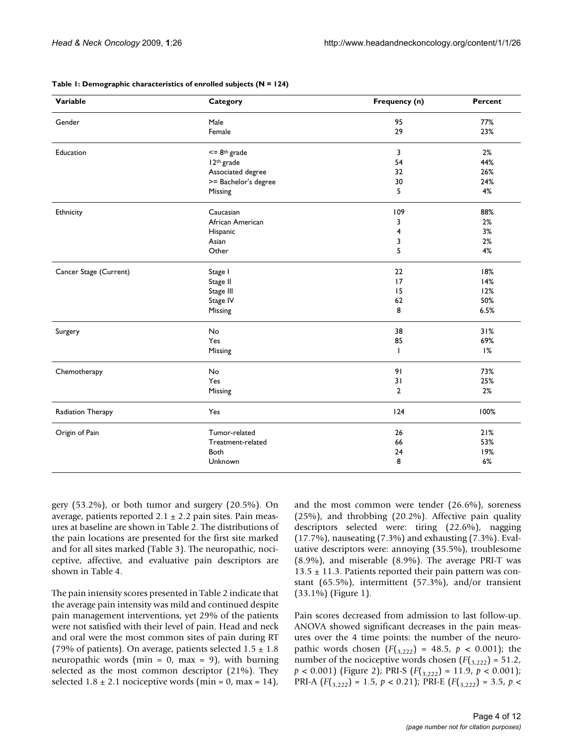| Variable               | Category                     | Frequency (n)  | Percent |  |
|------------------------|------------------------------|----------------|---------|--|
| Gender                 | Male                         | 95             | 77%     |  |
|                        | Female                       | 29             | 23%     |  |
| Education              | $\leq$ 8 <sup>th</sup> grade | 3              | 2%      |  |
|                        | I 2 <sup>th</sup> grade      | 54             | 44%     |  |
|                        | Associated degree            | 32             | 26%     |  |
|                        | >= Bachelor's degree         | 30             | 24%     |  |
|                        | Missing                      | 5              | 4%      |  |
| Ethnicity              | Caucasian                    | 109            | 88%     |  |
|                        | African American             | 3              | 2%      |  |
|                        | Hispanic                     | 4              | 3%      |  |
|                        | Asian                        | 3              | 2%      |  |
|                        | Other                        | 5              | 4%      |  |
| Cancer Stage (Current) | Stage I                      | 22             | 18%     |  |
|                        | Stage II                     | 17             | 14%     |  |
|                        | Stage III                    | 15             | 12%     |  |
|                        | Stage IV                     | 62             | 50%     |  |
|                        | Missing                      | 8              | 6.5%    |  |
| Surgery                | No                           | 38             | 31%     |  |
|                        | Yes                          | 85             | 69%     |  |
|                        | Missing                      | $\mathbf{I}$   | 1%      |  |
| Chemotherapy           | No                           | 91             | 73%     |  |
|                        | Yes                          | 31             | 25%     |  |
|                        | Missing                      | $\overline{2}$ | 2%      |  |
| Radiation Therapy      | Yes                          | 124            | 100%    |  |
| Origin of Pain         | Tumor-related                | 26             | 21%     |  |
|                        | Treatment-related            | 66             | 53%     |  |
|                        | <b>Both</b>                  | 24             | 19%     |  |
|                        | Unknown                      | 8              | 6%      |  |

**Table 1: Demographic characteristics of enrolled subjects (N = 124)**

gery (53.2%), or both tumor and surgery (20.5%). On average, patients reported  $2.1 \pm 2.2$  pain sites. Pain measures at baseline are shown in Table 2. The distributions of the pain locations are presented for the first site marked and for all sites marked (Table 3). The neuropathic, nociceptive, affective, and evaluative pain descriptors are shown in Table 4.

The pain intensity scores presented in Table 2 indicate that the average pain intensity was mild and continued despite pain management interventions, yet 29% of the patients were not satisfied with their level of pain. Head and neck and oral were the most common sites of pain during RT (79% of patients). On average, patients selected  $1.5 \pm 1.8$ neuropathic words (min =  $0$ , max =  $9$ ), with burning selected as the most common descriptor (21%). They selected  $1.8 \pm 2.1$  nociceptive words (min = 0, max = 14),

and the most common were tender (26.6%), soreness (25%), and throbbing (20.2%). Affective pain quality descriptors selected were: tiring (22.6%), nagging (17.7%), nauseating (7.3%) and exhausting (7.3%). Evaluative descriptors were: annoying (35.5%), troublesome (8.9%), and miserable (8.9%). The average PRI-T was  $13.5 \pm 11.3$ . Patients reported their pain pattern was constant (65.5%), intermittent (57.3%), and/or transient (33.1%) (Figure 1).

Pain scores decreased from admission to last follow-up. ANOVA showed significant decreases in the pain measures over the 4 time points: the number of the neuropathic words chosen  $(F({}_{3,222}) = 48.5, p < 0.001)$ ; the number of the nociceptive words chosen  $(F(3,222)) = 51.2$ , *p* < 0.001) (Figure 2); PRI-S (*F*(3,222) = 11.9, *p* < 0.001); PRI-A  $(F(\frac{3.222}{}) = 1.5, p < 0.21)$ ; PRI-E  $(F(\frac{3.222}{}) = 3.5, p <$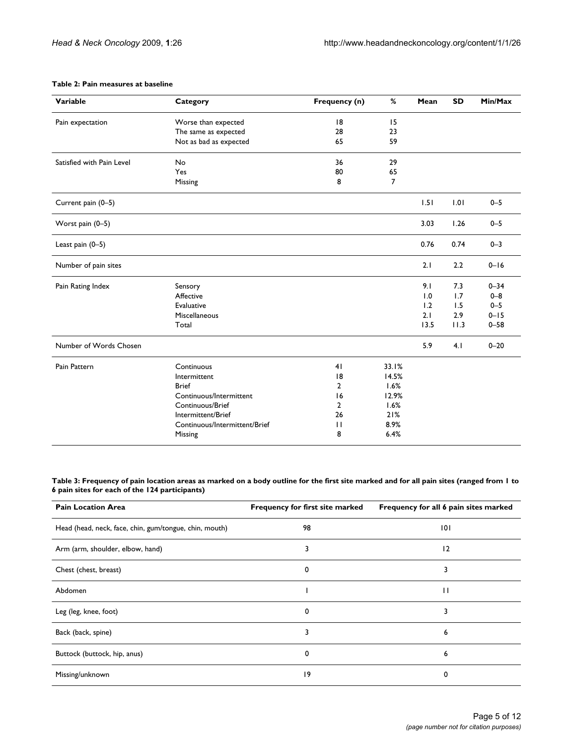#### **Table 2: Pain measures at baseline**

| Variable                  | Category                      | Frequency (n)  | %              | Mean | <b>SD</b> | Min/Max  |
|---------------------------|-------------------------------|----------------|----------------|------|-----------|----------|
| Pain expectation          | Worse than expected           | 8              | 15             |      |           |          |
|                           | The same as expected          | 28             | 23             |      |           |          |
|                           | Not as bad as expected        | 65             | 59             |      |           |          |
| Satisfied with Pain Level | No                            | 36             | 29             |      |           |          |
|                           | Yes                           | 80             | 65             |      |           |          |
|                           | Missing                       | 8              | $\overline{7}$ |      |           |          |
| Current pain (0-5)        |                               |                |                | 1.51 | 1.01      | $0 - 5$  |
| Worst pain (0-5)          |                               |                |                | 3.03 | 1.26      | $0 - 5$  |
| Least pain (0-5)          |                               |                |                | 0.76 | 0.74      | $0 - 3$  |
| Number of pain sites      |                               |                |                | 2.1  | 2.2       | $0 - 16$ |
| Pain Rating Index         | Sensory                       |                |                | 9.1  | 7.3       | $0 - 34$ |
|                           | Affective                     |                |                | 1.0  | 1.7       | $0 - 8$  |
|                           | Evaluative                    |                |                | 1.2  | 1.5       | $0 - 5$  |
|                           | Miscellaneous                 |                |                | 2.1  | 2.9       | $0 - 15$ |
|                           | Total                         |                |                | 13.5 | 11.3      | $0 - 58$ |
| Number of Words Chosen    |                               |                |                | 5.9  | 4.1       | $0 - 20$ |
| Pain Pattern              | Continuous                    | 41             | 33.1%          |      |           |          |
|                           | Intermittent                  | 18             | 14.5%          |      |           |          |
|                           | <b>Brief</b>                  | $\overline{2}$ | 1.6%           |      |           |          |
|                           | Continuous/Intermittent       | 16             | 12.9%          |      |           |          |
|                           | Continuous/Brief              | $\overline{2}$ | 1.6%           |      |           |          |
|                           | Intermittent/Brief            | 26             | 21%            |      |           |          |
|                           | Continuous/Intermittent/Brief | $\mathbf{H}$   | 8.9%           |      |           |          |
|                           | Missing                       | 8              | 6.4%           |      |           |          |

**Table 3: Frequency of pain location areas as marked on a body outline for the first site marked and for all pain sites (ranged from 1 to 6 pain sites for each of the 124 participants)**

| <b>Pain Location Area</b>                              | Frequency for first site marked | Frequency for all 6 pain sites marked |
|--------------------------------------------------------|---------------------------------|---------------------------------------|
| Head (head, neck, face, chin, gum/tongue, chin, mouth) | 98                              | 0                                     |
| Arm (arm, shoulder, elbow, hand)                       | 3                               | 12                                    |
| Chest (chest, breast)                                  | 0                               | 3                                     |
| Abdomen                                                |                                 | П                                     |
| Leg (leg, knee, foot)                                  | 0                               | 3                                     |
| Back (back, spine)                                     | 3                               | 6                                     |
| Buttock (buttock, hip, anus)                           | 0                               | 6                                     |
| Missing/unknown                                        | 9                               | 0                                     |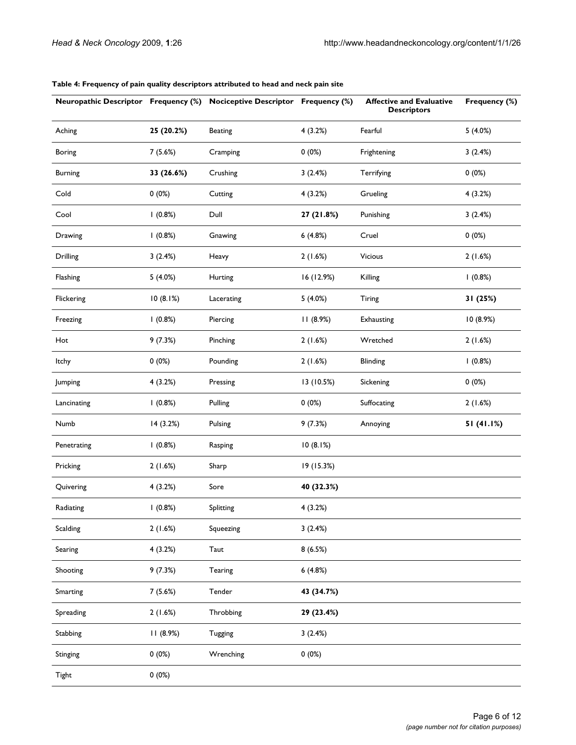| <b>Neuropathic Descriptor Frequency (%)</b> |            | <b>Nociceptive Descriptor Frequency (%)</b> |                          | <b>Affective and Evaluative</b><br><b>Descriptors</b> | Frequency (%) |
|---------------------------------------------|------------|---------------------------------------------|--------------------------|-------------------------------------------------------|---------------|
| Aching                                      | 25 (20.2%) | <b>Beating</b>                              | 4(3.2%)                  | Fearful                                               | 5(4.0%)       |
| <b>Boring</b>                               | 7(5.6%)    | Cramping                                    | 0(0%)<br>Frightening     |                                                       | 3(2.4%)       |
| <b>Burning</b>                              | 33 (26.6%) | Crushing                                    | 3(2.4%)                  | Terrifying                                            | 0(0%)         |
| Cold                                        | 0(0%)      | Cutting                                     | 4(3.2%)                  | Grueling                                              | 4(3.2%)       |
| Cool                                        | 1(0.8%)    | Dull                                        | 27 (21.8%)               | Punishing                                             | 3(2.4%)       |
| Drawing                                     | 1(0.8%)    | Gnawing                                     | 6(4.8%)                  | Cruel                                                 | 0(0%)         |
| Drilling                                    | 3(2.4%)    | Heavy                                       | 2(1.6%)                  | Vicious                                               | 2(1.6%)       |
| Flashing                                    | 5(4.0%)    | Hurting                                     | 16 (12.9%)<br>Killing    |                                                       | 1(0.8%)       |
| Flickering                                  | 10(8.1%)   | Lacerating                                  | 5(4.0%)<br><b>Tiring</b> |                                                       | 31 (25%)      |
| Freezing                                    | 1(0.8%)    | Piercing                                    | 11(8.9%)                 | Exhausting                                            | 10 (8.9%)     |
| Hot                                         | 9(7.3%)    | Pinching                                    | 2(1.6%)                  | Wretched                                              | 2(1.6%)       |
| Itchy                                       | 0(0%)      | Pounding                                    | 2(1.6%)                  | Blinding                                              | 1(0.8%)       |
| Jumping                                     | 4(3.2%)    | Pressing                                    | 13 (10.5%)               | Sickening                                             | 0(0%)         |
| Lancinating                                 | 1(0.8%)    | Pulling                                     | 0(0%)                    | Suffocating                                           | 2(1.6%)       |
| Numb                                        | 14 (3.2%)  | Pulsing                                     | 9(7.3%)                  | Annoying                                              | 51 (41.1%)    |
| Penetrating                                 | 1(0.8%)    | Rasping                                     | 10(8.1%)                 |                                                       |               |
| Pricking                                    | 2(1.6%)    | Sharp                                       | 19 (15.3%)               |                                                       |               |
| Quivering                                   | 4(3.2%)    | Sore                                        | 40 (32.3%)               |                                                       |               |
| Radiating                                   | 1(0.8%)    | Splitting                                   | 4(3.2%)                  |                                                       |               |
| Scalding                                    | 2(1.6%)    | Squeezing                                   | 3(2.4%)                  |                                                       |               |
| Searing                                     | 4(3.2%)    | Taut                                        | 8(6.5%)                  |                                                       |               |
| Shooting                                    | 9(7.3%)    | Tearing                                     | 6(4.8%)                  |                                                       |               |
| Smarting                                    | 7(5.6%)    | Tender                                      | 43 (34.7%)               |                                                       |               |
| Spreading                                   | 2(1.6%)    | Throbbing                                   | 29 (23.4%)               |                                                       |               |
| Stabbing                                    | 11 (8.9%)  | <b>Tugging</b>                              | 3(2.4%)                  |                                                       |               |
| Stinging                                    | 0(0%)      | Wrenching                                   | 0(0%)                    |                                                       |               |
| <b>Tight</b>                                | 0(0%)      |                                             |                          |                                                       |               |

#### **Table 4: Frequency of pain quality descriptors attributed to head and neck pain site**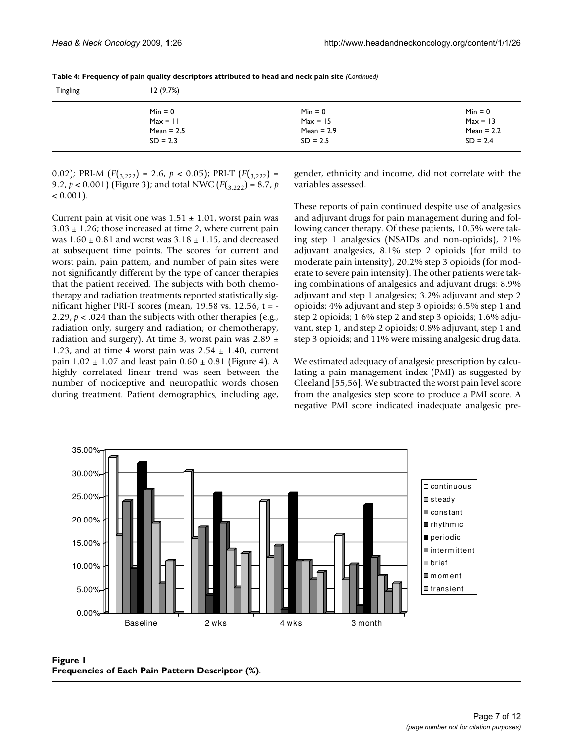| <b>Tingling</b> | 12(9.7%)     |              |              |
|-----------------|--------------|--------------|--------------|
|                 | $Min = 0$    | $Min = 0$    | $Min = 0$    |
|                 | $Max = 11$   | $Max = 15$   | $Max = 13$   |
|                 | Mean = $2.5$ | $Mean = 2.9$ | Mean = $2.2$ |
|                 | $SD = 2.3$   | $SD = 2.5$   | $SD = 2.4$   |
|                 |              |              |              |

**Table 4: Frequency of pain quality descriptors attributed to head and neck pain site** *(Continued)*

0.02); PRI-M  $(F(3,222) = 2.6, p < 0.05)$ ; PRI-T  $(F(3,222) =$ 9.2,  $p < 0.001$ ) (Figure 3); and total NWC ( $F(3, 222) = 8.7$ , *p*  $< 0.001$ ).

Current pain at visit one was  $1.51 \pm 1.01$ , worst pain was  $3.03 \pm 1.26$ ; those increased at time 2, where current pain was  $1.60 \pm 0.81$  and worst was  $3.18 \pm 1.15$ , and decreased at subsequent time points. The scores for current and worst pain, pain pattern, and number of pain sites were not significantly different by the type of cancer therapies that the patient received. The subjects with both chemotherapy and radiation treatments reported statistically significant higher PRI-T scores (mean,  $19.58$  vs.  $12.56$ , t = -2.29, *p* < .024 than the subjects with other therapies (e.g., radiation only, surgery and radiation; or chemotherapy, radiation and surgery). At time 3, worst pain was  $2.89 \pm$ 1.23, and at time 4 worst pain was  $2.54 \pm 1.40$ , current pain  $1.02 \pm 1.07$  and least pain  $0.60 \pm 0.81$  (Figure 4). A highly correlated linear trend was seen between the number of nociceptive and neuropathic words chosen during treatment. Patient demographics, including age, gender, ethnicity and income, did not correlate with the variables assessed.

These reports of pain continued despite use of analgesics and adjuvant drugs for pain management during and following cancer therapy. Of these patients, 10.5% were taking step 1 analgesics (NSAIDs and non-opioids), 21% adjuvant analgesics, 8.1% step 2 opioids (for mild to moderate pain intensity), 20.2% step 3 opioids (for moderate to severe pain intensity). The other patients were taking combinations of analgesics and adjuvant drugs: 8.9% adjuvant and step 1 analgesics; 3.2% adjuvant and step 2 opioids; 4% adjuvant and step 3 opioids; 6.5% step 1 and step 2 opioids; 1.6% step 2 and step 3 opioids; 1.6% adjuvant, step 1, and step 2 opioids; 0.8% adjuvant, step 1 and step 3 opioids; and 11% were missing analgesic drug data.

We estimated adequacy of analgesic prescription by calculating a pain management index (PMI) as suggested by Cleeland [55,56]. We subtracted the worst pain level score from the analgesics step score to produce a PMI score. A negative PMI score indicated inadequate analgesic pre-



Figure 1 **Frequencies of Each Pain Pattern Descriptor (%)**.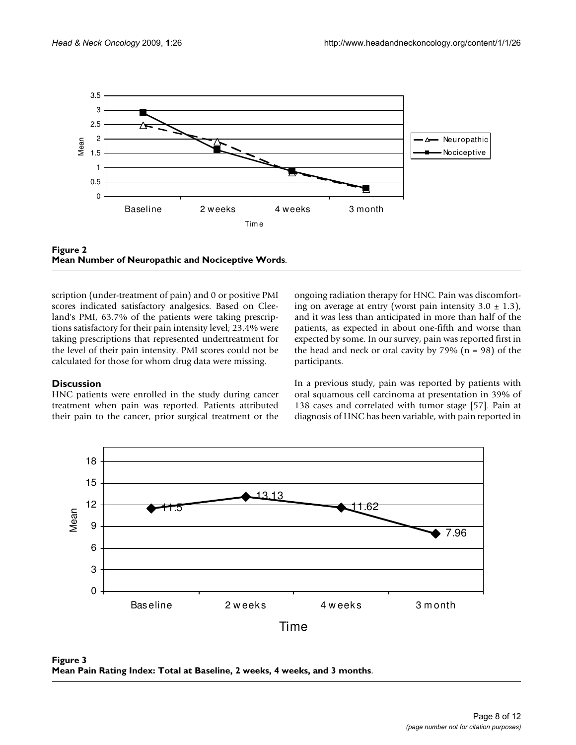



scription (under-treatment of pain) and 0 or positive PMI scores indicated satisfactory analgesics. Based on Cleeland's PMI, 63.7% of the patients were taking prescriptions satisfactory for their pain intensity level; 23.4% were taking prescriptions that represented undertreatment for the level of their pain intensity. PMI scores could not be calculated for those for whom drug data were missing.

#### **Discussion**

HNC patients were enrolled in the study during cancer treatment when pain was reported. Patients attributed their pain to the cancer, prior surgical treatment or the ongoing radiation therapy for HNC. Pain was discomforting on average at entry (worst pain intensity  $3.0 \pm 1.3$ ), and it was less than anticipated in more than half of the patients, as expected in about one-fifth and worse than expected by some. In our survey, pain was reported first in the head and neck or oral cavity by  $79\%$  (n = 98) of the participants.

In a previous study, pain was reported by patients with oral squamous cell carcinoma at presentation in 39% of 138 cases and correlated with tumor stage [57]. Pain at diagnosis of HNC has been variable, with pain reported in



Figure 3 **Mean Pain Rating Index: Total at Baseline, 2 weeks, 4 weeks, and 3 months**.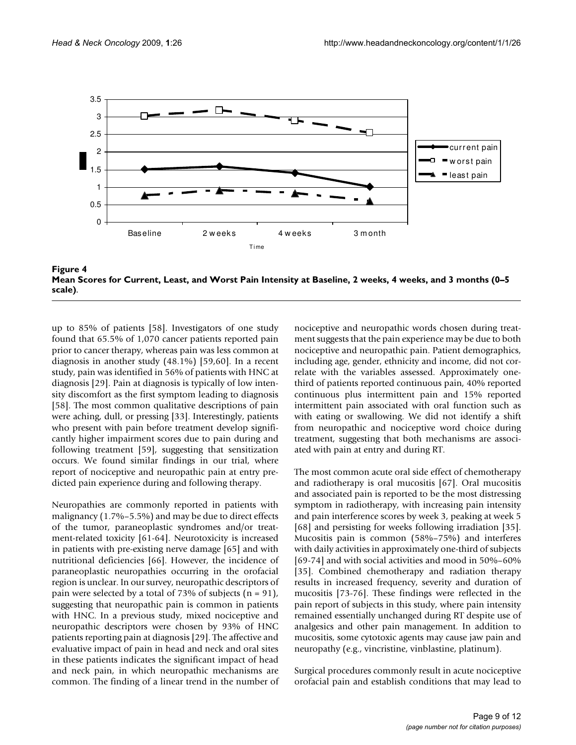

Mean Scores for Current, Least, and **Figure 4** Worst Pain Intensity at Baseline, 2 weeks, 4 weeks, and 3 months (0–5 scale) **Mean Scores for Current, Least, and Worst Pain Intensity at Baseline, 2 weeks, 4 weeks, and 3 months (0–5 scale)**.

up to 85% of patients [58]. Investigators of one study found that 65.5% of 1,070 cancer patients reported pain prior to cancer therapy, whereas pain was less common at diagnosis in another study (48.1%) [59,60]. In a recent study, pain was identified in 56% of patients with HNC at diagnosis [29]. Pain at diagnosis is typically of low intensity discomfort as the first symptom leading to diagnosis [58]. The most common qualitative descriptions of pain were aching, dull, or pressing [33]. Interestingly, patients who present with pain before treatment develop significantly higher impairment scores due to pain during and following treatment [59], suggesting that sensitization occurs. We found similar findings in our trial, where report of nociceptive and neuropathic pain at entry predicted pain experience during and following therapy.

Neuropathies are commonly reported in patients with malignancy (1.7%–5.5%) and may be due to direct effects of the tumor, paraneoplastic syndromes and/or treatment-related toxicity [61-64]. Neurotoxicity is increased in patients with pre-existing nerve damage [65] and with nutritional deficiencies [66]. However, the incidence of paraneoplastic neuropathies occurring in the orofacial region is unclear. In our survey, neuropathic descriptors of pain were selected by a total of 73% of subjects  $(n = 91)$ , suggesting that neuropathic pain is common in patients with HNC. In a previous study, mixed nociceptive and neuropathic descriptors were chosen by 93% of HNC patients reporting pain at diagnosis [29]. The affective and evaluative impact of pain in head and neck and oral sites in these patients indicates the significant impact of head and neck pain, in which neuropathic mechanisms are common. The finding of a linear trend in the number of nociceptive and neuropathic words chosen during treatment suggests that the pain experience may be due to both nociceptive and neuropathic pain. Patient demographics, including age, gender, ethnicity and income, did not correlate with the variables assessed. Approximately onethird of patients reported continuous pain, 40% reported continuous plus intermittent pain and 15% reported intermittent pain associated with oral function such as with eating or swallowing. We did not identify a shift from neuropathic and nociceptive word choice during treatment, suggesting that both mechanisms are associated with pain at entry and during RT.

The most common acute oral side effect of chemotherapy and radiotherapy is oral mucositis [67]. Oral mucositis and associated pain is reported to be the most distressing symptom in radiotherapy, with increasing pain intensity and pain interference scores by week 3, peaking at week 5 [68] and persisting for weeks following irradiation [35]. Mucositis pain is common (58%–75%) and interferes with daily activities in approximately one-third of subjects [69-74] and with social activities and mood in 50%–60% [35]. Combined chemotherapy and radiation therapy results in increased frequency, severity and duration of mucositis [73-76]. These findings were reflected in the pain report of subjects in this study, where pain intensity remained essentially unchanged during RT despite use of analgesics and other pain management. In addition to mucositis, some cytotoxic agents may cause jaw pain and neuropathy (e.g., vincristine, vinblastine, platinum).

Surgical procedures commonly result in acute nociceptive orofacial pain and establish conditions that may lead to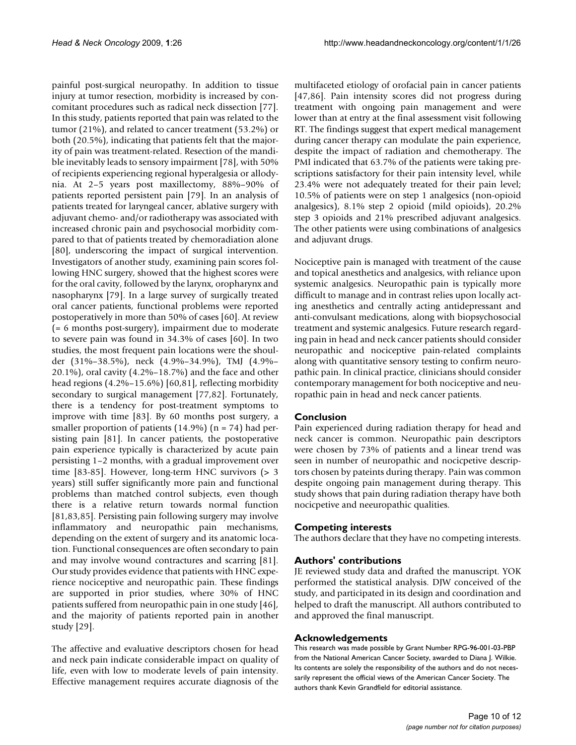painful post-surgical neuropathy. In addition to tissue injury at tumor resection, morbidity is increased by concomitant procedures such as radical neck dissection [77]. In this study, patients reported that pain was related to the tumor (21%), and related to cancer treatment (53.2%) or both (20.5%), indicating that patients felt that the majority of pain was treatment-related. Resection of the mandible inevitably leads to sensory impairment [78], with 50% of recipients experiencing regional hyperalgesia or allodynia. At 2–5 years post maxillectomy, 88%–90% of patients reported persistent pain [79]. In an analysis of patients treated for laryngeal cancer, ablative surgery with adjuvant chemo- and/or radiotherapy was associated with increased chronic pain and psychosocial morbidity compared to that of patients treated by chemoradiation alone [80], underscoring the impact of surgical intervention. Investigators of another study, examining pain scores following HNC surgery, showed that the highest scores were for the oral cavity, followed by the larynx, oropharynx and nasopharynx [79]. In a large survey of surgically treated oral cancer patients, functional problems were reported postoperatively in more than 50% of cases [60]. At review (= 6 months post-surgery), impairment due to moderate to severe pain was found in 34.3% of cases [60]. In two studies, the most frequent pain locations were the shoulder (31%–38.5%), neck (4.9%–34.9%), TMJ (4.9%– 20.1%), oral cavity (4.2%–18.7%) and the face and other head regions (4.2%–15.6%) [60,81], reflecting morbidity secondary to surgical management [77,82]. Fortunately, there is a tendency for post-treatment symptoms to improve with time [83]. By 60 months post surgery, a smaller proportion of patients  $(14.9\%)$  (n = 74) had persisting pain [81]. In cancer patients, the postoperative pain experience typically is characterized by acute pain persisting 1–2 months, with a gradual improvement over time [83-85]. However, long-term HNC survivors (> 3 years) still suffer significantly more pain and functional problems than matched control subjects, even though there is a relative return towards normal function [81,83,85]. Persisting pain following surgery may involve inflammatory and neuropathic pain mechanisms, depending on the extent of surgery and its anatomic location. Functional consequences are often secondary to pain and may involve wound contractures and scarring [81]. Our study provides evidence that patients with HNC experience nociceptive and neuropathic pain. These findings are supported in prior studies, where 30% of HNC patients suffered from neuropathic pain in one study [46], and the majority of patients reported pain in another study [29].

The affective and evaluative descriptors chosen for head and neck pain indicate considerable impact on quality of life, even with low to moderate levels of pain intensity. Effective management requires accurate diagnosis of the multifaceted etiology of orofacial pain in cancer patients [47,86]. Pain intensity scores did not progress during treatment with ongoing pain management and were lower than at entry at the final assessment visit following RT. The findings suggest that expert medical management during cancer therapy can modulate the pain experience, despite the impact of radiation and chemotherapy. The PMI indicated that 63.7% of the patients were taking prescriptions satisfactory for their pain intensity level, while 23.4% were not adequately treated for their pain level; 10.5% of patients were on step 1 analgesics (non-opioid analgesics), 8.1% step 2 opioid (mild opioids), 20.2% step 3 opioids and 21% prescribed adjuvant analgesics. The other patients were using combinations of analgesics and adjuvant drugs.

Nociceptive pain is managed with treatment of the cause and topical anesthetics and analgesics, with reliance upon systemic analgesics. Neuropathic pain is typically more difficult to manage and in contrast relies upon locally acting anesthetics and centrally acting antidepressant and anti-convulsant medications, along with biopsychosocial treatment and systemic analgesics. Future research regarding pain in head and neck cancer patients should consider neuropathic and nociceptive pain-related complaints along with quantitative sensory testing to confirm neuropathic pain. In clinical practice, clinicians should consider contemporary management for both nociceptive and neuropathic pain in head and neck cancer patients.

#### **Conclusion**

Pain experienced during radiation therapy for head and neck cancer is common. Neuropathic pain descriptors were chosen by 73% of patients and a linear trend was seen in number of neuropathic and nocicpetive descriptors chosen by pateints during therapy. Pain was common despite ongoing pain management during therapy. This study shows that pain during radiation therapy have both nocicpetive and neeuropathic qualities.

#### **Competing interests**

The authors declare that they have no competing interests.

#### **Authors' contributions**

JE reviewed study data and drafted the manuscript. YOK performed the statistical analysis. DJW conceived of the study, and participated in its design and coordination and helped to draft the manuscript. All authors contributed to and approved the final manuscript.

#### **Acknowledgements**

This research was made possible by Grant Number RPG-96-001-03-PBP from the National American Cancer Society, awarded to Diana J. Wilkie. Its contents are solely the responsibility of the authors and do not necessarily represent the official views of the American Cancer Society. The authors thank Kevin Grandfield for editorial assistance.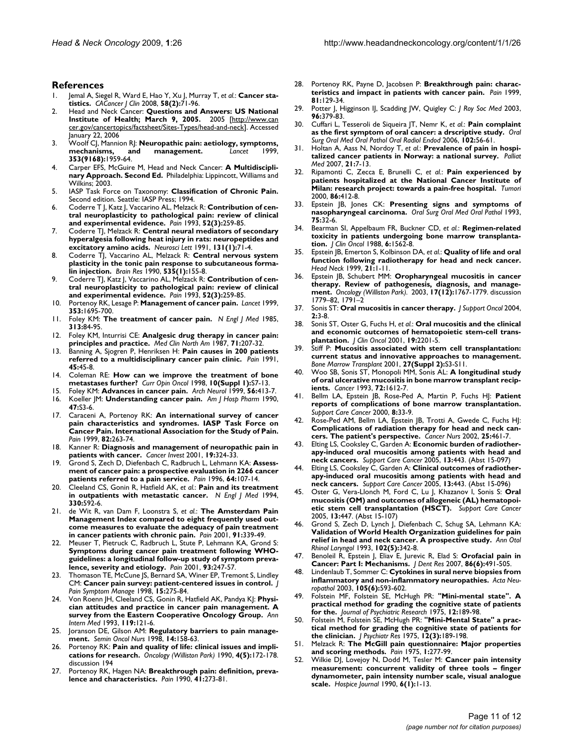#### **References**

- Jemal A, Siegel R, Ward E, Hao Y, Xu J, Murray T, et al.: Cancer sta**tistics.** *CACancer J Clin* 2008, **58(2):**71-96.
- 2. Head and Neck Cancer: **Questions and Answers: US National Institute of Health; March 9, 2005.** 2005 [[http://www.can](http://www.cancer.gov/cancertopics/factsheet/Sites-Types/head-and-neck) [cer.gov/cancertopics/factsheet/Sites-Types/head-and-neck](http://www.cancer.gov/cancertopics/factsheet/Sites-Types/head-and-neck)]. Accessed January 22, 2006
- 3. Woolf CJ, Mannion RJ: **[Neuropathic pain: aetiology, symptoms,](http://www.ncbi.nlm.nih.gov/entrez/query.fcgi?cmd=Retrieve&db=PubMed&dopt=Abstract&list_uids=10371588) [mechanisms, and management.](http://www.ncbi.nlm.nih.gov/entrez/query.fcgi?cmd=Retrieve&db=PubMed&dopt=Abstract&list_uids=10371588)** *Lancet* 1999, **353(9168):**1959-64.
- Carper EFS, McGuire M, Head and Neck Cancer: A Multidiscipli**nary Approach. Second Ed.** Philadelphia: Lippincott, Williams and Wilkins; 2003.
- 5. IASP Task Force on Taxonomy: **Classification of Chronic Pain.** Second edition. Seattle: IASP Press; 1994.
- 6. Coderre T J, Katz J, Vaccarino AL, Melzack R: **[Contribution of cen](http://www.ncbi.nlm.nih.gov/entrez/query.fcgi?cmd=Retrieve&db=PubMed&dopt=Abstract&list_uids=7681556)[tral neuroplasticity to pathological pain: review of clinical](http://www.ncbi.nlm.nih.gov/entrez/query.fcgi?cmd=Retrieve&db=PubMed&dopt=Abstract&list_uids=7681556) [and experimental evidence.](http://www.ncbi.nlm.nih.gov/entrez/query.fcgi?cmd=Retrieve&db=PubMed&dopt=Abstract&list_uids=7681556)** *Pain* 1993, **52(3):**259-85.
- 7. Coderre TJ, Melzack R: **[Central neural mediators of secondary](http://www.ncbi.nlm.nih.gov/entrez/query.fcgi?cmd=Retrieve&db=PubMed&dopt=Abstract&list_uids=1686478) [hyperalgesia following heat injury in rats: neuropeptides and](http://www.ncbi.nlm.nih.gov/entrez/query.fcgi?cmd=Retrieve&db=PubMed&dopt=Abstract&list_uids=1686478) [excitatory amino acids.](http://www.ncbi.nlm.nih.gov/entrez/query.fcgi?cmd=Retrieve&db=PubMed&dopt=Abstract&list_uids=1686478)** *Neurosci Lett* 1991, **131(1):**71-4.
- 8. Coderre TJ, Vaccarino AL, Melzack R: **[Central nervous system](http://www.ncbi.nlm.nih.gov/entrez/query.fcgi?cmd=Retrieve&db=PubMed&dopt=Abstract&list_uids=2292020) [plasticity in the tonic pain response to subcutaneous forma](http://www.ncbi.nlm.nih.gov/entrez/query.fcgi?cmd=Retrieve&db=PubMed&dopt=Abstract&list_uids=2292020)[lin injection.](http://www.ncbi.nlm.nih.gov/entrez/query.fcgi?cmd=Retrieve&db=PubMed&dopt=Abstract&list_uids=2292020)** *Brain Res* 1990, **535(1):**155-8.
- 9. Coderre TJ, Katz J, Vaccarino AL, Melzack R: **[Contribution of cen](http://www.ncbi.nlm.nih.gov/entrez/query.fcgi?cmd=Retrieve&db=PubMed&dopt=Abstract&list_uids=7681556)[tral neuroplasticity to pathological pain: review of clinical](http://www.ncbi.nlm.nih.gov/entrez/query.fcgi?cmd=Retrieve&db=PubMed&dopt=Abstract&list_uids=7681556) [and experimental evidence.](http://www.ncbi.nlm.nih.gov/entrez/query.fcgi?cmd=Retrieve&db=PubMed&dopt=Abstract&list_uids=7681556)** *Pain* 1993, **52(3):**259-85.
- 10. Portenoy RK, Lesage P: **[Management of cancer pain.](http://www.ncbi.nlm.nih.gov/entrez/query.fcgi?cmd=Retrieve&db=PubMed&dopt=Abstract&list_uids=10335806)** *Lancet* 1999, **353:**1695-700.
- 11. Foley KM: **[The treatment of cancer pain.](http://www.ncbi.nlm.nih.gov/entrez/query.fcgi?cmd=Retrieve&db=PubMed&dopt=Abstract&list_uids=2582259)** *N Engl J Med* 1985, **313:**84-95.
- 12. Foley KM, Inturrisi CE: **[Analgesic drug therapy in cancer pain:](http://www.ncbi.nlm.nih.gov/entrez/query.fcgi?cmd=Retrieve&db=PubMed&dopt=Abstract&list_uids=2881032) [principles and practice.](http://www.ncbi.nlm.nih.gov/entrez/query.fcgi?cmd=Retrieve&db=PubMed&dopt=Abstract&list_uids=2881032)** *Med Clin North Am* 1987, **71:**207-32.
- 13. Banning A, Sjogren P, Henriksen H: **[Pain causes in 200 patients](http://www.ncbi.nlm.nih.gov/entrez/query.fcgi?cmd=Retrieve&db=PubMed&dopt=Abstract&list_uids=1861877) [referred to a multidisciplinary cancer pain clinic.](http://www.ncbi.nlm.nih.gov/entrez/query.fcgi?cmd=Retrieve&db=PubMed&dopt=Abstract&list_uids=1861877)** *Pain* 1991, **45:**45-8.
- 14. Coleman RE: **[How can we improve the treatment of bone](http://www.ncbi.nlm.nih.gov/entrez/query.fcgi?cmd=Retrieve&db=PubMed&dopt=Abstract&list_uids=9801853) [metastases further?](http://www.ncbi.nlm.nih.gov/entrez/query.fcgi?cmd=Retrieve&db=PubMed&dopt=Abstract&list_uids=9801853)** *Curr Opin Oncol* 1998, **10(Suppl 1):**S7-13.
- 15. Foley KM: **[Advances in cancer pain.](http://www.ncbi.nlm.nih.gov/entrez/query.fcgi?cmd=Retrieve&db=PubMed&dopt=Abstract&list_uids=10199328)** *Arch Neurol* 1999, **56:**413-7. 16. Koeller JM: **[Understanding cancer pain.](http://www.ncbi.nlm.nih.gov/entrez/query.fcgi?cmd=Retrieve&db=PubMed&dopt=Abstract&list_uids=2202210)** *Am J Hosp Pharm* 1990,
- **47:**S3-6. 17. Caraceni A, Portenoy RK: **[An international survey of cancer](http://www.ncbi.nlm.nih.gov/entrez/query.fcgi?cmd=Retrieve&db=PubMed&dopt=Abstract&list_uids=10488677)**
- **[pain characteristics and syndromes. IASP Task Force on](http://www.ncbi.nlm.nih.gov/entrez/query.fcgi?cmd=Retrieve&db=PubMed&dopt=Abstract&list_uids=10488677) Cancer Pain. International Association for the Study of Pain.** *Pain* 1999, **82:**263-74.
- 18. Kanner R: **[Diagnosis and management of neuropathic pain in](http://www.ncbi.nlm.nih.gov/entrez/query.fcgi?cmd=Retrieve&db=PubMed&dopt=Abstract&list_uids=11338889) [patients with cancer.](http://www.ncbi.nlm.nih.gov/entrez/query.fcgi?cmd=Retrieve&db=PubMed&dopt=Abstract&list_uids=11338889)** *Cancer Invest* 2001, **19:**324-33.
- 19. Grond S, Zech D, Diefenbach C, Radbruch L, Lehmann KA: **[Assess](http://www.ncbi.nlm.nih.gov/entrez/query.fcgi?cmd=Retrieve&db=PubMed&dopt=Abstract&list_uids=8867252)[ment of cancer pain: a prospective evaluation in 2266 cancer](http://www.ncbi.nlm.nih.gov/entrez/query.fcgi?cmd=Retrieve&db=PubMed&dopt=Abstract&list_uids=8867252) [patients referred to a pain service.](http://www.ncbi.nlm.nih.gov/entrez/query.fcgi?cmd=Retrieve&db=PubMed&dopt=Abstract&list_uids=8867252)** *Pain* 1996, **64:**107-14.
- 20. Cleeland CS, Gonin R, Hatfield AK, *et al.*: **[Pain and its treatment](http://www.ncbi.nlm.nih.gov/entrez/query.fcgi?cmd=Retrieve&db=PubMed&dopt=Abstract&list_uids=7508092) [in outpatients with metastatic cancer.](http://www.ncbi.nlm.nih.gov/entrez/query.fcgi?cmd=Retrieve&db=PubMed&dopt=Abstract&list_uids=7508092)** *N Engl J Med* 1994, **330:**592-6.
- 21. de Wit R, van Dam F, Loonstra S, *et al.*: **[The Amsterdam Pain](http://www.ncbi.nlm.nih.gov/entrez/query.fcgi?cmd=Retrieve&db=PubMed&dopt=Abstract&list_uids=11275392) [Management Index compared to eight frequently used out](http://www.ncbi.nlm.nih.gov/entrez/query.fcgi?cmd=Retrieve&db=PubMed&dopt=Abstract&list_uids=11275392)come measures to evaluate the adequacy of pain treatment [in cancer patients with chronic pain.](http://www.ncbi.nlm.nih.gov/entrez/query.fcgi?cmd=Retrieve&db=PubMed&dopt=Abstract&list_uids=11275392)** *Pain* 2001, **91:**339-49.
- 22. Meuser T, Pietruck C, Radbruch L, Stute P, Lehmann KA, Grond S: **[Symptoms during cancer pain treatment following WHO](http://www.ncbi.nlm.nih.gov/entrez/query.fcgi?cmd=Retrieve&db=PubMed&dopt=Abstract&list_uids=11514084)guidelines: a longitudinal follow-up study of symptom preva[lence, severity and etiology.](http://www.ncbi.nlm.nih.gov/entrez/query.fcgi?cmd=Retrieve&db=PubMed&dopt=Abstract&list_uids=11514084)** *Pain* 2001, **93:**247-57.
- Thomason TE, McCune JS, Bernard SA, Winer EP, Tremont S, Lindley CM: **[Cancer pain survey: patient-centered issues in control.](http://www.ncbi.nlm.nih.gov/entrez/query.fcgi?cmd=Retrieve&db=PubMed&dopt=Abstract&list_uids=9654832)** *J Pain Symptom Manage* 1998, **15:**275-84.
- 24. Von Roenn JH, Cleeland CS, Gonin R, Hatfield AK, Pandya KJ: **[Physi](http://www.ncbi.nlm.nih.gov/entrez/query.fcgi?cmd=Retrieve&db=PubMed&dopt=Abstract&list_uids=8099769)[cian attitudes and practice in cancer pain management. A](http://www.ncbi.nlm.nih.gov/entrez/query.fcgi?cmd=Retrieve&db=PubMed&dopt=Abstract&list_uids=8099769) [survey from the Eastern Cooperative Oncology Group.](http://www.ncbi.nlm.nih.gov/entrez/query.fcgi?cmd=Retrieve&db=PubMed&dopt=Abstract&list_uids=8099769)** *Ann Intern Med* 1993, **119:**121-6.
- 25. Joranson DE, Gilson AM: **[Regulatory barriers to pain manage](http://www.ncbi.nlm.nih.gov/entrez/query.fcgi?cmd=Retrieve&db=PubMed&dopt=Abstract&list_uids=9580940)[ment.](http://www.ncbi.nlm.nih.gov/entrez/query.fcgi?cmd=Retrieve&db=PubMed&dopt=Abstract&list_uids=9580940)** *Semin Oncol Nurs* 1998, **14:**158-63.
- 26. Portenoy RK: **[Pain and quality of life: clinical issues and impli](http://www.ncbi.nlm.nih.gov/entrez/query.fcgi?cmd=Retrieve&db=PubMed&dopt=Abstract&list_uids=2143401)[cations for research.](http://www.ncbi.nlm.nih.gov/entrez/query.fcgi?cmd=Retrieve&db=PubMed&dopt=Abstract&list_uids=2143401)** *Oncology (Williston Park)* 1990, **4(5):**172-178. discussion 194
- 27. Portenoy RK, Hagen NA: **[Breakthrough pain: definition, preva](http://www.ncbi.nlm.nih.gov/entrez/query.fcgi?cmd=Retrieve&db=PubMed&dopt=Abstract&list_uids=1697056)[lence and characteristics.](http://www.ncbi.nlm.nih.gov/entrez/query.fcgi?cmd=Retrieve&db=PubMed&dopt=Abstract&list_uids=1697056)** *Pain* 1990, **41:**273-81.
- 28. Portenoy RK, Payne D, Jacobsen P: **[Breakthrough pain: charac](http://www.ncbi.nlm.nih.gov/entrez/query.fcgi?cmd=Retrieve&db=PubMed&dopt=Abstract&list_uids=10353500)[teristics and impact in patients with cancer pain.](http://www.ncbi.nlm.nih.gov/entrez/query.fcgi?cmd=Retrieve&db=PubMed&dopt=Abstract&list_uids=10353500)** *Pain* 1999, **81:**129-34.
- 29. Potter J, Higginson IJ, Scadding JW, Quigley C: *J Roy Soc Med* 2003, **96:**379-83.
- 30. Cuffari L, Tesseroli de Siqueira JT, Nemr K, *et al.*: **[Pain complaint](http://www.ncbi.nlm.nih.gov/entrez/query.fcgi?cmd=Retrieve&db=PubMed&dopt=Abstract&list_uids=16831673) [as the first symptom of oral cancer: a drscriptive study.](http://www.ncbi.nlm.nih.gov/entrez/query.fcgi?cmd=Retrieve&db=PubMed&dopt=Abstract&list_uids=16831673)** *Oral Surg Oral Med Oral Pathol Oral Radiol Endod* 2006, **102:**56-61.
- 31. Holtan A, Aass N, Nordoy T, *et al.*: **[Prevalence of pain in hospi](http://www.ncbi.nlm.nih.gov/entrez/query.fcgi?cmd=Retrieve&db=PubMed&dopt=Abstract&list_uids=17169954)[talized cancer patients in Norway: a national survey.](http://www.ncbi.nlm.nih.gov/entrez/query.fcgi?cmd=Retrieve&db=PubMed&dopt=Abstract&list_uids=17169954)** *Palliat Med* 2007, **21:**7-13.
- 32. Ripamonti C, Zecca E, Brunelli C, *et al.*: **[Pain experienced by](http://www.ncbi.nlm.nih.gov/entrez/query.fcgi?cmd=Retrieve&db=PubMed&dopt=Abstract&list_uids=11130572) [patients hospitalized at the National Cancer Institute of](http://www.ncbi.nlm.nih.gov/entrez/query.fcgi?cmd=Retrieve&db=PubMed&dopt=Abstract&list_uids=11130572) [Milan: research project: towards a pain-free hospital.](http://www.ncbi.nlm.nih.gov/entrez/query.fcgi?cmd=Retrieve&db=PubMed&dopt=Abstract&list_uids=11130572)** *Tumori* 2000, **86:**412-8.
- 33. Epstein JB, Jones CK: **[Presenting signs and symptoms of](http://www.ncbi.nlm.nih.gov/entrez/query.fcgi?cmd=Retrieve&db=PubMed&dopt=Abstract&list_uids=8419872) [nasopharyngeal carcinoma.](http://www.ncbi.nlm.nih.gov/entrez/query.fcgi?cmd=Retrieve&db=PubMed&dopt=Abstract&list_uids=8419872)** *Oral Surg Oral Med Oral Pathol* 1993, **75:**32-6.
- 34. Bearman SI, Appelbaum FR, Buckner CD, *et al.*: **[Regimen-related](http://www.ncbi.nlm.nih.gov/entrez/query.fcgi?cmd=Retrieve&db=PubMed&dopt=Abstract&list_uids=3049951) [toxicity in patients undergoing bone marrow transplanta](http://www.ncbi.nlm.nih.gov/entrez/query.fcgi?cmd=Retrieve&db=PubMed&dopt=Abstract&list_uids=3049951)[tion.](http://www.ncbi.nlm.nih.gov/entrez/query.fcgi?cmd=Retrieve&db=PubMed&dopt=Abstract&list_uids=3049951)** *J Clin Oncol* 1988, **6:**1562-8.
- 35. Epstein JB, Emerton S, Kolbinson DA, *et al.*: **[Quality of life and oral](http://www.ncbi.nlm.nih.gov/entrez/query.fcgi?cmd=Retrieve&db=PubMed&dopt=Abstract&list_uids=9890345) [function following radiotherapy for head and neck cancer.](http://www.ncbi.nlm.nih.gov/entrez/query.fcgi?cmd=Retrieve&db=PubMed&dopt=Abstract&list_uids=9890345)** *Head Neck* 1999, **21:**1-11.
- 36. Epstein JB, Schubert MM: **[Oropharyngeal mucositis in cancer](http://www.ncbi.nlm.nih.gov/entrez/query.fcgi?cmd=Retrieve&db=PubMed&dopt=Abstract&list_uids=14723014) [therapy. Review of pathogenesis, diagnosis, and manage](http://www.ncbi.nlm.nih.gov/entrez/query.fcgi?cmd=Retrieve&db=PubMed&dopt=Abstract&list_uids=14723014)[ment.](http://www.ncbi.nlm.nih.gov/entrez/query.fcgi?cmd=Retrieve&db=PubMed&dopt=Abstract&list_uids=14723014)** *Oncology (Williston Park).* 2003, **17(12):**1767-1779. discussion 1779–82, 1791–2
- 37. Sonis ST: **[Oral mucositis in cancer therapy.](http://www.ncbi.nlm.nih.gov/entrez/query.fcgi?cmd=Retrieve&db=PubMed&dopt=Abstract&list_uids=15605918)** *J Support Oncol* 2004, **2:**3-8.
- 38. Sonis ST, Oster G, Fuchs H, *et al.*: **[Oral mucositis and the clinical](http://www.ncbi.nlm.nih.gov/entrez/query.fcgi?cmd=Retrieve&db=PubMed&dopt=Abstract&list_uids=11304772) [and economic outcomes of hematopoietic stem-cell trans](http://www.ncbi.nlm.nih.gov/entrez/query.fcgi?cmd=Retrieve&db=PubMed&dopt=Abstract&list_uids=11304772)[plantation.](http://www.ncbi.nlm.nih.gov/entrez/query.fcgi?cmd=Retrieve&db=PubMed&dopt=Abstract&list_uids=11304772)** *J Clin Oncol* 2001, **19:**2201-5.
- 39. Stiff P: **[Mucositis associated with stem cell transplantation:](http://www.ncbi.nlm.nih.gov/entrez/query.fcgi?cmd=Retrieve&db=PubMed&dopt=Abstract&list_uids=11436115) [current status and innovative approaches to management.](http://www.ncbi.nlm.nih.gov/entrez/query.fcgi?cmd=Retrieve&db=PubMed&dopt=Abstract&list_uids=11436115)** *Bone Marrow Transplant* 2001, **27(Suppl 2):**S3-S11.
- 40. Woo SB, Sonis ST, Monopoli MM, Sonis AL: **[A longitudinal study](http://www.ncbi.nlm.nih.gov/entrez/query.fcgi?cmd=Retrieve&db=PubMed&dopt=Abstract&list_uids=8348492) [of oral ulcerative mucositis in bone marrow transplant recip](http://www.ncbi.nlm.nih.gov/entrez/query.fcgi?cmd=Retrieve&db=PubMed&dopt=Abstract&list_uids=8348492)[ients.](http://www.ncbi.nlm.nih.gov/entrez/query.fcgi?cmd=Retrieve&db=PubMed&dopt=Abstract&list_uids=8348492)** *Cancer* 1993, **72:**1612-7.
- 41. Bellm LA, Epstein JB, Rose-Ped A, Martin P, Fuchs HJ: **[Patient](http://www.ncbi.nlm.nih.gov/entrez/query.fcgi?cmd=Retrieve&db=PubMed&dopt=Abstract&list_uids=10650895) [reports of complications of bone marrow transplantation.](http://www.ncbi.nlm.nih.gov/entrez/query.fcgi?cmd=Retrieve&db=PubMed&dopt=Abstract&list_uids=10650895)** *Support Care Cancer* 2000, **8:**33-9.
- 42. Rose-Ped AM, Bellm LA, Epstein JB, Trotti A, Gwede C, Fuchs HJ: **[Complications of radiation therapy for head and neck can](http://www.ncbi.nlm.nih.gov/entrez/query.fcgi?cmd=Retrieve&db=PubMed&dopt=Abstract&list_uids=12464838)[cers. The patient's perspective.](http://www.ncbi.nlm.nih.gov/entrez/query.fcgi?cmd=Retrieve&db=PubMed&dopt=Abstract&list_uids=12464838)** *Cancer Nurs* 2002, **25:**461-7.
- 43. Elting LS, Cooksley C, Garden A: **Economic burden of radiotherapy-induced oral mucositis among patients with head and neck cancers.** *Support Care Cancer* 2005, **13:**443. (Abst 15-097)
- 44. Elting LS, Cooksley C, Garden A: **Clinical outcomes of radiotherapy-induced oral mucositis among patients with head and neck cancers.** *Support Care Cancer* 2005, **13:**443. (Abst 15-096)
- 45. Oster G, Vera-Llonch M, Ford C, Lu J, Khazanov I, Sonis S: **Oral mucositis (OM) and outcomes of allogeneic (AL) hematopoietic stem cell transplantation (HSCT).** *Support Care Cancer* 2005, **13:**447. (Abst 15-107)
- 46. Grond S, Zech D, Lynch J, Diefenbach C, Schug SA, Lehmann KA: **[Validation of World Health Organization guidelines for pain](http://www.ncbi.nlm.nih.gov/entrez/query.fcgi?cmd=Retrieve&db=PubMed&dopt=Abstract&list_uids=7683853) [relief in head and neck cancer. A prospective study.](http://www.ncbi.nlm.nih.gov/entrez/query.fcgi?cmd=Retrieve&db=PubMed&dopt=Abstract&list_uids=7683853)** *Ann Otol Rhinol Laryngol* 1993, **102(5):**342-8.
- 47. Benoleil R, Epstein J, Eliav E, Jurevic R, Elad S: **[Orofacial pain in](http://www.ncbi.nlm.nih.gov/entrez/query.fcgi?cmd=Retrieve&db=PubMed&dopt=Abstract&list_uids=17525348) [Cancer: Part I: Mechanisms.](http://www.ncbi.nlm.nih.gov/entrez/query.fcgi?cmd=Retrieve&db=PubMed&dopt=Abstract&list_uids=17525348)** *J Dent Res* 2007, **86(6):**491-505.
- 48. Lindenlaub T, Sommer C: **[Cytokines in sural nerve biopsies from](http://www.ncbi.nlm.nih.gov/entrez/query.fcgi?cmd=Retrieve&db=PubMed&dopt=Abstract&list_uids=12734666) [inflammatory and non-inflammatory neuropathies.](http://www.ncbi.nlm.nih.gov/entrez/query.fcgi?cmd=Retrieve&db=PubMed&dopt=Abstract&list_uids=12734666)** *Acta Neuropathol* 2003, **105(6):**593-602.
- 49. Folstein MF, Folstein SE, McHugh PR: **["Mini-mental state". A](http://www.ncbi.nlm.nih.gov/entrez/query.fcgi?cmd=Retrieve&db=PubMed&dopt=Abstract&list_uids=1202204) [practical method for grading the cognitive state of patients](http://www.ncbi.nlm.nih.gov/entrez/query.fcgi?cmd=Retrieve&db=PubMed&dopt=Abstract&list_uids=1202204) [for the.](http://www.ncbi.nlm.nih.gov/entrez/query.fcgi?cmd=Retrieve&db=PubMed&dopt=Abstract&list_uids=1202204)** *Journal of Psychiatric Research* 1975, **12:**189-98.
- 50. Folstein M, Folstein SE, McHugh PR: **["Mini-Mental State" a prac](http://www.ncbi.nlm.nih.gov/entrez/query.fcgi?cmd=Retrieve&db=PubMed&dopt=Abstract&list_uids=1202204)[tical method for grading the cognitive state of patients for](http://www.ncbi.nlm.nih.gov/entrez/query.fcgi?cmd=Retrieve&db=PubMed&dopt=Abstract&list_uids=1202204) [the clinician.](http://www.ncbi.nlm.nih.gov/entrez/query.fcgi?cmd=Retrieve&db=PubMed&dopt=Abstract&list_uids=1202204)** *J Psychiatr Res* 1975, **12(3):**189-198.
- 51. Melzack R: **[The McGill pain questionnaire: Major properties](http://www.ncbi.nlm.nih.gov/entrez/query.fcgi?cmd=Retrieve&db=PubMed&dopt=Abstract&list_uids=1235985) [and scoring methods.](http://www.ncbi.nlm.nih.gov/entrez/query.fcgi?cmd=Retrieve&db=PubMed&dopt=Abstract&list_uids=1235985)** *Pain* 1975, **1:**277-99.
- 52. Wilkie DJ, Lovejoy N, Dodd M, Tesler M: **[Cancer pain intensity](http://www.ncbi.nlm.nih.gov/entrez/query.fcgi?cmd=Retrieve&db=PubMed&dopt=Abstract&list_uids=2379920) [measurement: concurrent validity of three tools – finger](http://www.ncbi.nlm.nih.gov/entrez/query.fcgi?cmd=Retrieve&db=PubMed&dopt=Abstract&list_uids=2379920) dynamometer, pain intensity number scale, visual analogue [scale.](http://www.ncbi.nlm.nih.gov/entrez/query.fcgi?cmd=Retrieve&db=PubMed&dopt=Abstract&list_uids=2379920)** *Hospice Journal* 1990, **6(1):**1-13.